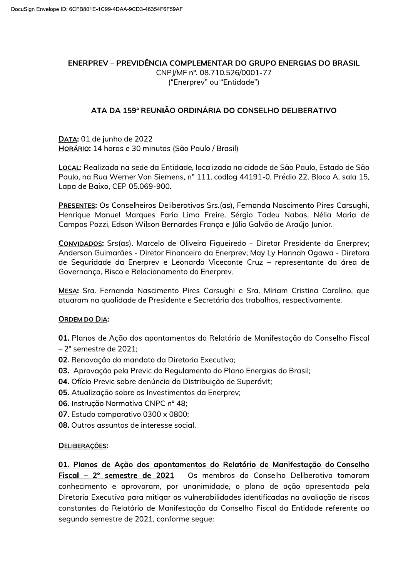## ENERPREV - PREVIDÊNCIA COMPLEMENTAR DO GRUPO ENERGIAS DO BRASIL

CNPI/MF n°, 08.710.526/0001-77 ("Enerprev" ou "Entidade")

## ATA DA 159ª REUNIÃO ORDINÁRIA DO CONSELHO DELIBERATIVO

DATA: 01 de junho de 2022 HORÁRIO: 14 horas e 30 minutos (São Paulo / Brasil)

LOCAL: Realizada na sede da Entidade, localizada na cidade de São Paulo, Estado de São Paulo, na Rua Werner Von Siemens, nº 111, codlog 44191-0, Prédio 22, Bloco A, sala 15, Lapa de Baixo, CEP 05.069-900.

PRESENTES: Os Conselheiros Deliberativos Srs.(as), Fernanda Nascimento Pires Carsughi, Henrique Manuel Marques Faria Lima Freire, Sérgio Tadeu Nabas, Nélia Maria de Campos Pozzi, Edson Wilson Bernardes França e Júlio Galvão de Araújo Junior.

CONVIDADOS: Srs(as). Marcelo de Oliveira Figueiredo - Diretor Presidente da Enerprev; Anderson Guimarães - Diretor Financeiro da Enerprey; May Ly Hannah Ogawa - Diretora de Seguridade da Enerprev e Leonardo Viceconte Cruz - representante da área de Governança, Risco e Relacionamento da Enerprev.

MESA: Sra. Fernanda Nascimento Pires Carsughi e Sra. Miriam Cristina Carolino, que atuaram na qualidade de Presidente e Secretária dos trabalhos, respectivamente.

## **ORDEM DO DIA:**

- 01. Planos de Ação dos apontamentos do Relatório de Manifestação do Conselho Fiscal
- $-2^{\circ}$  semestre de 2021:
- 02. Renovação do mandato da Diretoria Executiva;
- 03. Aprovação pela Previc do Regulamento do Plano Energias do Brasil;
- 04. Ofício Previc sobre denúncia da Distribuição de Superávit;
- 05. Atualização sobre os Investimentos da Enerprey;
- 06. Instrução Normativa CNPC nº 48;
- 07. Estudo comparativo 0300 x 0800;
- 08. Outros assuntos de interesse social.

## DELIBERAÇÕES:

01. Planos de Ação dos apontamentos do Relatório de Manifestação do Conselho

Fiscal - 2° semestre de 2021 - Os membros do Conselho Deliberativo tomaram conhecimento e aprovaram, por unanimidade, o plano de ação apresentado pela Diretoria Executiva para mitigar as vulnerabilidades identificadas na avaliação de riscos constantes do Relatório de Manifestação do Conselho Fiscal da Entidade referente ao segundo semestre de 2021, conforme seque: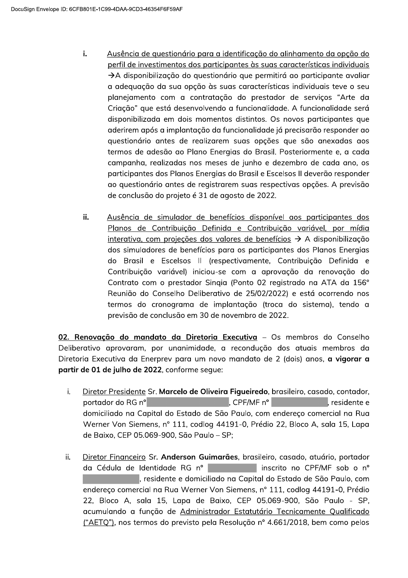- i. Ausência de questionário para a identificação do alinhamento da opção do perfil de investimentos dos participantes às suas características individuais  $\rightarrow$ A disponibilização do questionário que permitirá ao participante avaliar a adequação da sua opção às suas características individuais teve o seu planejamento com a contratação do prestador de serviços "Arte da Criação" que está desenvolvendo a funcionalidade. A funcionalidade será disponibilizada em dois momentos distintos. Os novos participantes que aderirem após a implantação da funcionalidade já precisarão responder ao questionário antes de realizarem suas opções que são anexadas aos termos de adesão ao Plano Energias do Brasil. Posteriormente e, a cada campanha, realizadas nos meses de junho e dezembro de cada ano, os participantes dos Planos Energias do Brasil e Escelsos II deverão responder go questionário antes de registrarem suas respectivas opcões. A previsão de conclusão do projeto é 31 de agosto de 2022.
- ii. Ausência de simulador de benefícios disponível aos participantes dos Planos de Contribuição Definida e Contribuição variável, por mídia interativa, com projeções dos valores de benefícios  $\rightarrow$  A disponibilização dos simuladores de benefícios para os participantes dos Planos Energias do Brasil e Escelsos II (respectivamente, Contribuição Definida e Contribuição variável) iniciou-se com a aprovação da renovação do Contrato com o prestador Singia (Ponto 02 registrado na ATA da 156° Reunião do Conselho Deliberativo de 25/02/2022) e está ocorrendo nos termos do cronograma de implantação (troca do sistema), tendo a previsão de conclusão em 30 de novembro de 2022.

02. Renovação do mandato da Diretoria Executiva - Os membros do Conselho Deliberativo aprovaram, por unanimidade, a recondução dos atuais membros da Diretoria Executiva da Enerprev para um novo mandato de 2 (dois) anos, a vigorar a partir de 01 de julho de 2022, conforme seque:

- Diretor Presidente Sr. Marcelo de Oliveira Figueiredo, brasileiro, casado, contador, i.  $\blacksquare$ . CPF/MF n<sup>o</sup>  $\blacksquare$  contrarios are set that residente e **Dortador do RG nº** and the state of the state of the state of the state of the state of the state of the state o domiciliado na Capital do Estado de São Paulo, com endereço comercial na Rua Werner Von Siemens, nº 111, codlog 44191-0, Prédio 22, Bloco A, sala 15, Lapa de Baixo, CEP 05.069-900, São Paulo - SP;
- ii. Diretor Financeiro Sr. Anderson Guimarães, brasileiro, casado, atuário, portador da Cédula de Identidade RG nº contra inscrito no CPF/MF sob o nº residente e domiciliado na Capital do Estado de São Paulo, com endereço comercial na Rua Werner Von Siemens, nº 111, codlog 44191-0, Prédio 22, Bloco A, sala 15, Lapa de Baixo, CEP 05.069-900, São Paulo - SP, acumulando a função de Administrador Estatutário Tecnicamente Qualificado ("AETO"), nos termos do previsto pela Resolução nº 4.661/2018, bem como pelos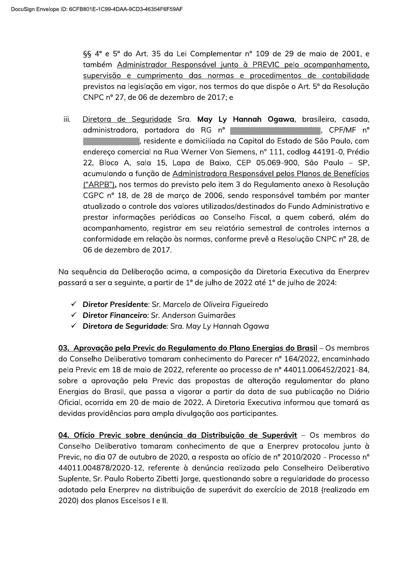§§ 4° e 5° do Art. 35 da Lei Complementar n° 109 de 29 de maio de 2001, e também Administrador Responsável junto à PREVIC pelo acompanhamento, supervisão e cumprimento das normas e procedimentos de contabilidade previstos na legislação em vigor, nos termos do que dispõe o Art. 5º da Resolução CNPC nº 27, de 06 de dezembro de 2017; e

Diretora de Seguridade Sra. May Ly Hannah Ogawa, brasileira, casada, iii. administradora, portadora do RG nº **Example 20 April 19 April 19 April 19 April 19 April 19 April 19 April 19 April 19 April 19 April 19 April 19** residente e domiciliada na Capital do Estado de São Paulo, com endereço comercial na Rua Werner Von Siemens, nº 111, codlog 44191-0, Prédio 22, Bloco A, sala 15, Lapa de Baixo, CEP 05.069-900, São Paulo - SP, acumulando a função de Administradora Responsável pelos Planos de Benefícios ("ARPB"), nos termos do previsto pelo item 3 do Regulamento gnexo à Resolução CGPC nº 18, de 28 de março de 2006, sendo responsável também por manter atualizado o controle dos valores utilizados/destinados do Fundo Administrativo e prestar informações periódicas ao Conselho Fiscal, a quem caberá, além do acompanhamento, registrar em seu relatório semestral de controles internos a conformidade em relação às normas, conforme prevê a Resolução CNPC nº 28, de 06 de dezembro de 2017.

Na sequência da Deliberação acima, a composição da Diretoria Executiva da Enerprev passará a ser a seguinte, a partir de 1º de julho de 2022 até 1º de julho de 2024:

- ← Diretor Presidente: Sr. Marcelo de Oliveira Figueiredo
- ← Diretor Financeiro: Sr. Anderson Guimarães
- ← Diretora de Seguridade: Sra. May Ly Hannah Ogawa

03. Aprovação pela Previc do Regulamento do Plano Energias do Brasil - Os membros do Conselho Deliberativo tomaram conhecimento do Parecer nº 164/2022, encaminhado pela Previc em 18 de maio de 2022, referente ao processo de nº 44011.006452/2021-84, sobre a aprovação pela Previc das propostas de alteração regulamentar do plano Energias do Brasil, que passa a vigorar a partir da data de sua publicação no Diário Oficial, ocorrida em 20 de maio de 2022. A Diretoria Executiva informou que tomará as devidas providências para ampla divulgação aos participantes.

04. Ofício Previc sobre denúncia da Distribuição de Superávit - Os membros do Conselho Deliberativo tomaram conhecimento de que a Enerprev protocolou junto à Previc, no dia 07 de outubro de 2020, a resposta ao ofício de nº 2010/2020 - Processo nº 44011.004878/2020-12, referente à denúncia realizada pelo Conselheiro Deliberativo Suplente, Sr. Paulo Roberto Zibetti Jorge, questionando sobre a regularidade do processo adotado pela Enerprev na distribuição de superávit do exercício de 2018 (realizado em 2020) dos planos Escelsos I e II.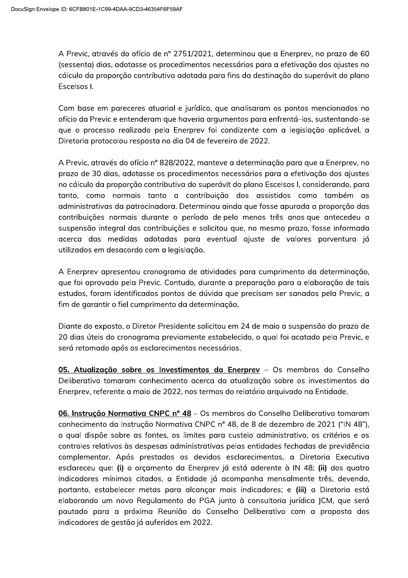A Previc, através do ofício de nº 2751/2021, determinou que a Enerprev, no prazo de 60 (sessenta) dias, adotasse os procedimentos necessários para a efetivação dos ajustes no cálculo da proporção contributiva adotada para fins da destinação do superávit do plano Escelsos I.

Com base em pareceres atuarial e jurídico, que analisaram os pontos mencionados no ofício da Previc e entenderam que haveria arqumentos para enfrentá-los, sustentando-se que o processo realizado pela Enerprev foi condizente com a legislação aplicável, a Diretoria protocolou resposta no dia 04 de fevereiro de 2022.

A Previc, através do ofício nº 828/2022, manteve a determinação para que a Enerprey, no prazo de 30 dias, adotasse os procedimentos necessários para a efetivação dos ajustes no cálculo da proporcão contributiva do superávit do plano Escelsos I, considerando, para tanto, como normais tanto a contribuição dos assistidos como também as administrativas da patrocinadora. Determinou ainda que fosse apurada a proporção das contribuições normais durante o período de pelo menos três anos que antecedeu a suspensão integral das contribuições e solicitou que, no mesmo prazo, fosse informada acerca das medidas adotadas para eventual ajuste de valores porventura já utilizados em desacordo com a legislação.

A Enerprev apresentou cronograma de atividades para cumprimento da determinação, que foi aprovado pela Previc. Contudo, durante a preparação para a elaboração de tais estudos, foram identificados pontos de dúvida que precisam ser sanados pela Previc, a fim de garantir o fiel cumprimento da determinação.

Diante do exposto, o Diretor Presidente solicitou em 24 de maio a suspensão do prazo de 20 dias úteis do cronograma previamente estabelecido, o qual foi acatado pela Previc, e será retomado após os esclarecimentos necessários.

05. Atualização sobre os Investimentos da Enerprev - Os membros do Conselho Deliberativo tomaram conhecimento acerca da atualização sobre os investimentos da Enerprev, referente a maio de 2022, nos termos do relatório arquivado na Entidade.

06. Instrução Normativa CNPC nº 48 – Os membros do Conselho Deliberativo tomaram conhecimento da Instrução Normativa CNPC nº 48, de 8 de dezembro de 2021 ("IN 48"), o qual dispõe sobre as fontes, os limites para custeio administrativo, os critérios e os controles relativos às despesas administrativas pelas entidades fechadas de previdência complementar. Após prestados os devidos esclarecimentos, a Diretoria Executiva esclareceu que: (i) o orçamento da Enerprev já está aderente à IN 48; (ii) dos quatro indicadores mínimos citados, a Entidade já acompanha mensalmente três, devendo, portanto, estabelecer metas para alcançar mais indicadores; e (iii) a Diretoria está elaborando um novo Regulamento do PGA junto à consultoria jurídica JCM, que será pautado para a próxima Reunião do Conselho Deliberativo com a proposta dos indicadores de gestão já auferidos em 2022.